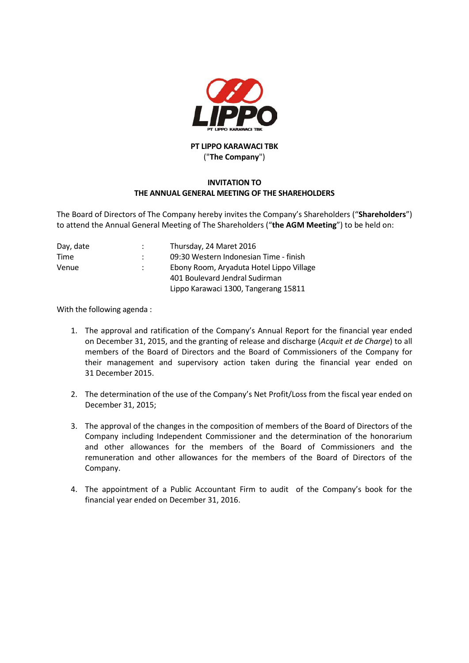

## **PT LIPPO KARAWACI TBK** ("**The Company**")

## **INVITATION TO THE ANNUAL GENERAL MEETING OF THE SHAREHOLDERS**

The Board of Directors of The Company hereby invites the Company's Shareholders ("**Shareholders**") to attend the Annual General Meeting of The Shareholders ("**the AGM Meeting**") to be held on:

| Day, date | Thursday, 24 Maret 2016                  |
|-----------|------------------------------------------|
| Time      | 09:30 Western Indonesian Time - finish   |
| Venue     | Ebony Room, Aryaduta Hotel Lippo Village |
|           | 401 Boulevard Jendral Sudirman           |
|           | Lippo Karawaci 1300, Tangerang 15811     |

With the following agenda :

- 1. The approval and ratification of the Company's Annual Report for the financial year ended on December 31, 2015, and the granting of release and discharge (*Acquit et de Charge*) to all members of the Board of Directors and the Board of Commissioners of the Company for their management and supervisory action taken during the financial year ended on 31 December 2015.
- 2. The determination of the use of the Company's Net Profit/Loss from the fiscal year ended on December 31, 2015;
- 3. The approval of the changes in the composition of members of the Board of Directors of the Company including Independent Commissioner and the determination of the honorarium and other allowances for the members of the Board of Commissioners and the remuneration and other allowances for the members of the Board of Directors of the Company.
- 4. The appointment of a Public Accountant Firm to audit of the Company's book for the financial year ended on December 31, 2016.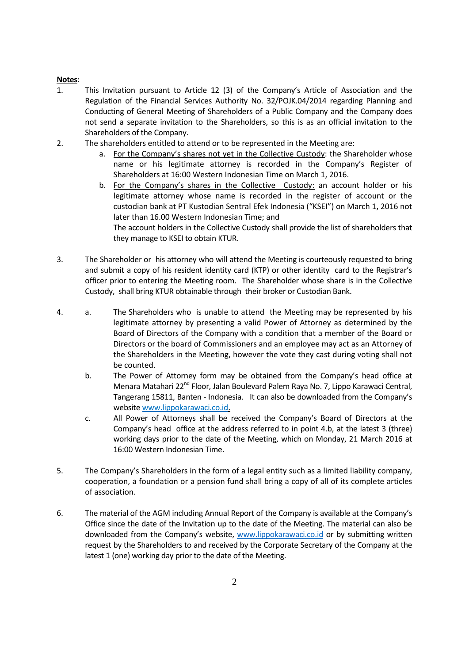## **Notes**:

- 1. This Invitation pursuant to Article 12 (3) of the Company's Article of Association and the Regulation of the Financial Services Authority No. 32/POJK.04/2014 regarding Planning and Conducting of General Meeting of Shareholders of a Public Company and the Company does not send a separate invitation to the Shareholders, so this is as an official invitation to the Shareholders of the Company.
- 2. The shareholders entitled to attend or to be represented in the Meeting are:
	- a. For the Company's shares not yet in the Collective Custody: the Shareholder whose name or his legitimate attorney is recorded in the Company's Register of Shareholders at 16:00 Western Indonesian Time on March 1, 2016.
	- b. For the Company's shares in the Collective Custody: an account holder or his legitimate attorney whose name is recorded in the register of account or the custodian bank at PT Kustodian Sentral Efek Indonesia ("KSEI") on March 1, 2016 not later than 16.00 Western Indonesian Time; and

The account holders in the Collective Custody shall provide the list of shareholders that they manage to KSEI to obtain KTUR.

- 3. The Shareholder or his attorney who will attend the Meeting is courteously requested to bring and submit a copy of his resident identity card (KTP) or other identity card to the Registrar's officer prior to entering the Meeting room. The Shareholder whose share is in the Collective Custody, shall bring KTUR obtainable through their broker or Custodian Bank.
- 4. a. The Shareholders who is unable to attend the Meeting may be represented by his legitimate attorney by presenting a valid Power of Attorney as determined by the Board of Directors of the Company with a condition that a member of the Board or Directors or the board of Commissioners and an employee may act as an Attorney of the Shareholders in the Meeting, however the vote they cast during voting shall not be counted.
	- b. The Power of Attorney form may be obtained from the Company's head office at Menara Matahari 22<sup>nd</sup> Floor, Jalan Boulevard Palem Raya No. 7, Lippo Karawaci Central, Tangerang 15811, Banten - Indonesia. It can also be downloaded from the Company's website www.lippokarawaci.co.id.
	- c. All Power of Attorneys shall be received the Company's Board of Directors at the Company's head office at the address referred to in point 4.b, at the latest 3 (three) working days prior to the date of the Meeting, which on Monday, 21 March 2016 at 16:00 Western Indonesian Time.
- 5. The Company's Shareholders in the form of a legal entity such as a limited liability company, cooperation, a foundation or a pension fund shall bring a copy of all of its complete articles of association.
- 6. The material of the AGM including Annual Report of the Company is available at the Company's Office since the date of the Invitation up to the date of the Meeting. The material can also be downloaded from the Company's website, [www.lippokarawaci.co.id](http://www.lippokarawaci.co.id/) or by submitting written request by the Shareholders to and received by the Corporate Secretary of the Company at the latest 1 (one) working day prior to the date of the Meeting.